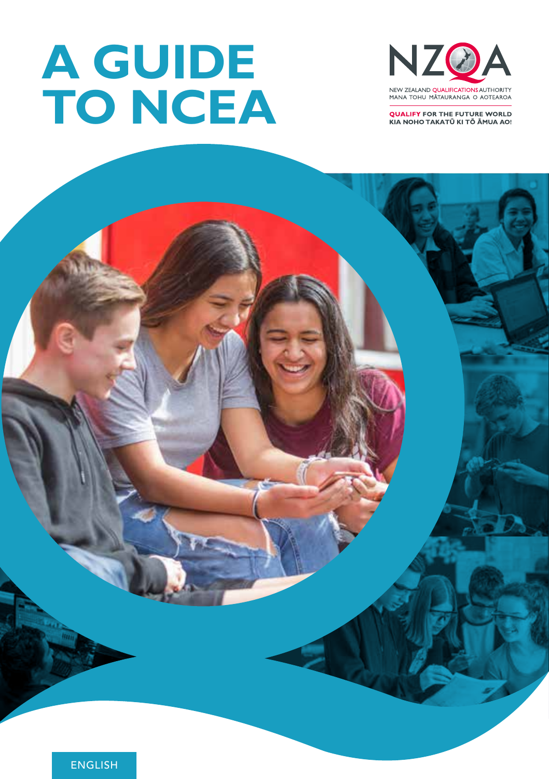# **A GUIDE TO NCEA**



**QUALIFY FOR THE FUTURE WORLD** KIA NOHO TAKATŪ KI TŌ ĀMUA AO!



ENGLISH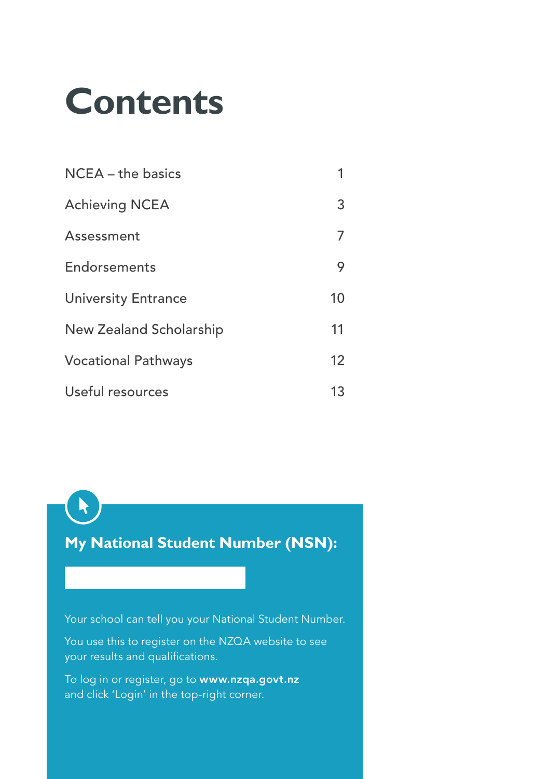# **Contents**

| $NCEA - the basics$        |    |
|----------------------------|----|
| <b>Achieving NCEA</b>      | 3  |
| Assessment                 |    |
| Endorsements               | 9  |
| <b>University Entrance</b> | 10 |
| New Zealand Scholarship    | 11 |
| <b>Vocational Pathways</b> | 12 |
| Useful resources           | 13 |

**My National Student Number (NSN):**

R

Your school can tell you your National Student Number.

You use this to register on the NZQA website to see your results and qualifications.

To log in or register, go to www.nzqa.govt.nz and click 'Login' in the top-right corner.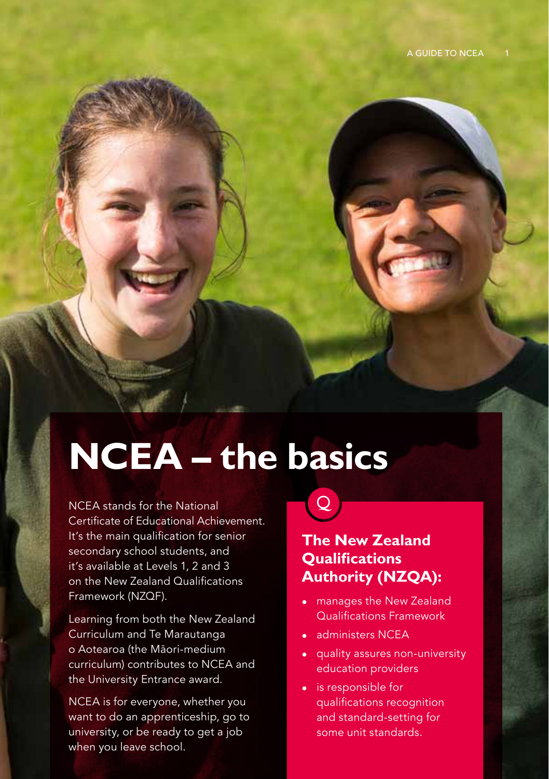# **NCEA – the basics**

NCEA stands for the National Certificate of Educational Achievement. It's the main qualification for senior secondary school students, and it's available at Levels 1, 2 and 3 on the New Zealand Qualifications Framework (NZQF).

Learning from both the New Zealand Curriculum and Te Marautanga o Aotearoa (the Māori-medium curriculum) contributes to NCEA and the University Entrance award.

NCEA is for everyone, whether you want to do an apprenticeship, go to university, or be ready to get a job when you leave school.

# $\mathsf{Q}$

### **The New Zealand Qualifications Authority (NZQA):**

- manages the New Zealand Qualifications Framework
- administers NCEA
- quality assures non-university education providers
- is responsible for qualifications recognition and standard-setting for some unit standards.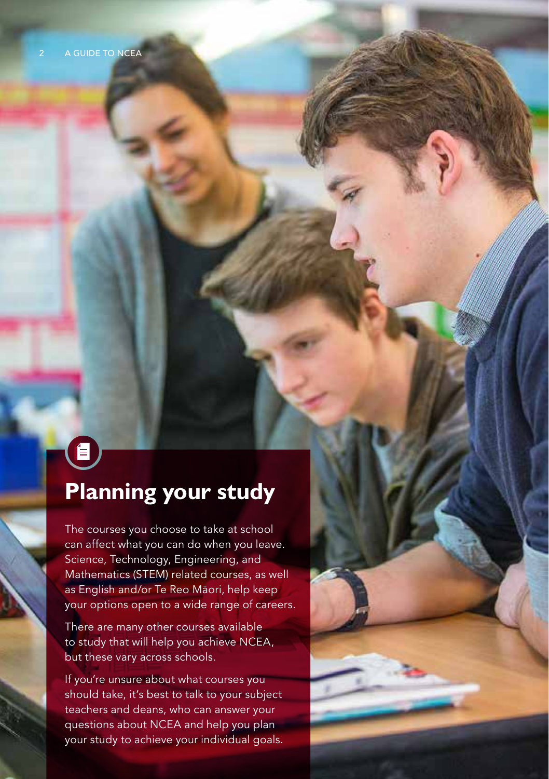# $\mathbf{E}$ **Planning your study**

The courses you choose to take at school can affect what you can do when you leave. Science, Technology, Engineering, and Mathematics (STEM) related courses, as well as English and/or Te Reo Māori, help keep your options open to a wide range of careers.

There are many other courses available to study that will help you achieve NCEA, but these vary across schools.

If you're unsure about what courses you should take, it's best to talk to your subject teachers and deans, who can answer your questions about NCEA and help you plan your study to achieve your individual goals.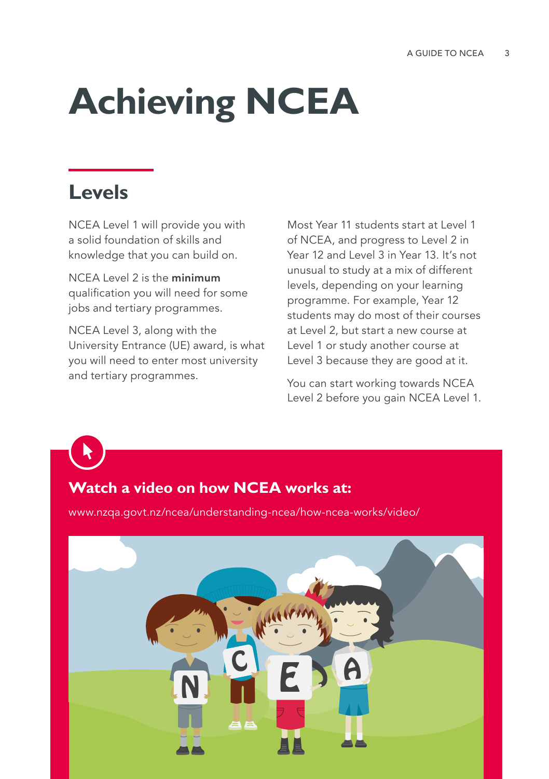# **Achieving NCEA**

### **Levels**

NCEA Level 1 will provide you with a solid foundation of skills and knowledge that you can build on.

NCEA Level 2 is the minimum qualification you will need for some jobs and tertiary programmes.

NCEA Level 3, along with the University Entrance (UE) award, is what you will need to enter most university and tertiary programmes.

Most Year 11 students start at Level 1 of NCEA, and progress to Level 2 in Year 12 and Level 3 in Year 13. It's not unusual to study at a mix of different levels, depending on your learning programme. For example, Year 12 students may do most of their courses at Level 2, but start a new course at Level 1 or study another course at Level 3 because they are good at it.

You can start working towards NCEA Level 2 before you gain NCEA Level 1.

#### **Watch a video on how NCEA works at:**

www.nzqa.govt.nz/ncea/understanding-ncea/how-ncea-works/video/

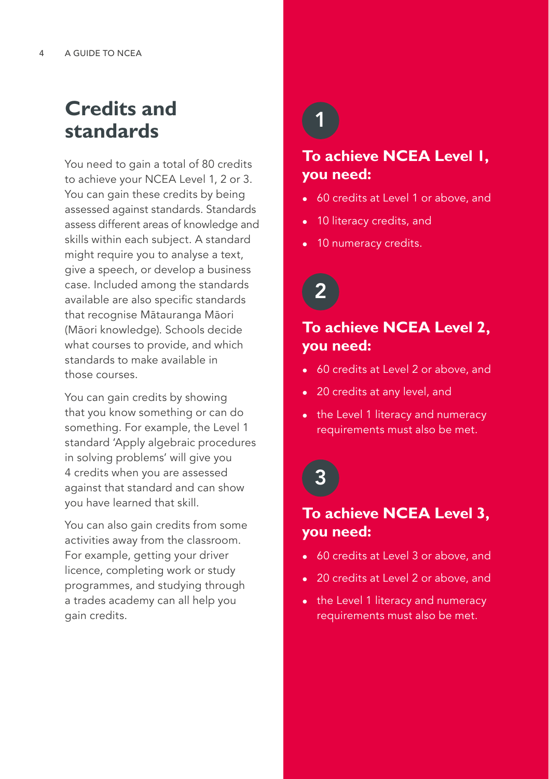### **Credits and standards**

You need to gain a total of 80 credits to achieve your NCEA Level 1, 2 or 3. You can gain these credits by being assessed against standards. Standards assess different areas of knowledge and skills within each subject. A standard might require you to analyse a text, give a speech, or develop a business case. Included among the standards available are also specific standards that recognise Mātauranga Māori (Māori knowledge). Schools decide what courses to provide, and which standards to make available in those courses.

You can gain credits by showing that you know something or can do something. For example, the Level 1 standard 'Apply algebraic procedures in solving problems' will give you 4 credits when you are assessed against that standard and can show you have learned that skill.

You can also gain credits from some activities away from the classroom. For example, getting your driver licence, completing work or study programmes, and studying through a trades academy can all help you gain credits.

### 1

### **To achieve NCEA Level 1, you need:**

- 60 credits at Level 1 or above, and
- 10 literacy credits, and
- 10 numeracy credits.

# 2

#### **To achieve NCEA Level 2, you need:**

- 60 credits at Level 2 or above, and
- 20 credits at any level, and
- the Level 1 literacy and numeracy requirements must also be met.

## 3

#### **To achieve NCEA Level 3, you need:**

- 60 credits at Level 3 or above, and
- 20 credits at Level 2 or above, and
- the Level 1 literacy and numeracy requirements must also be met.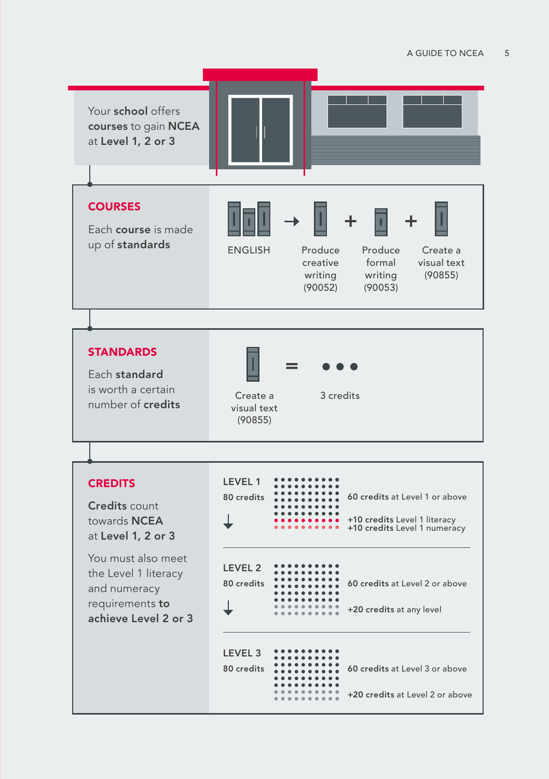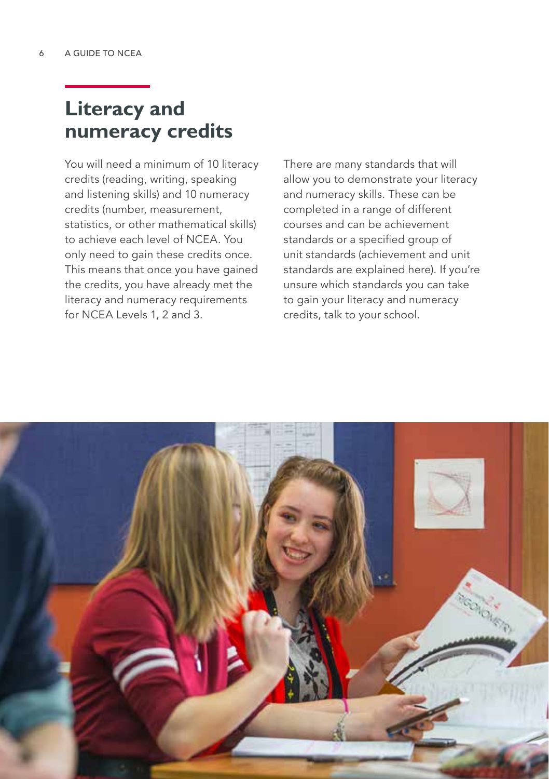### **Literacy and numeracy credits**

You will need a minimum of 10 literacy credits (reading, writing, speaking and listening skills) and 10 numeracy credits (number, measurement, statistics, or other mathematical skills) to achieve each level of NCEA. You only need to gain these credits once. This means that once you have gained the credits, you have already met the literacy and numeracy requirements for NCEA Levels 1, 2 and 3.

There are many standards that will allow you to demonstrate your literacy and numeracy skills. These can be completed in a range of different courses and can be achievement standards or a specified group of unit standards (achievement and unit standards are explained here). If you're unsure which standards you can take to gain your literacy and numeracy credits, talk to your school.

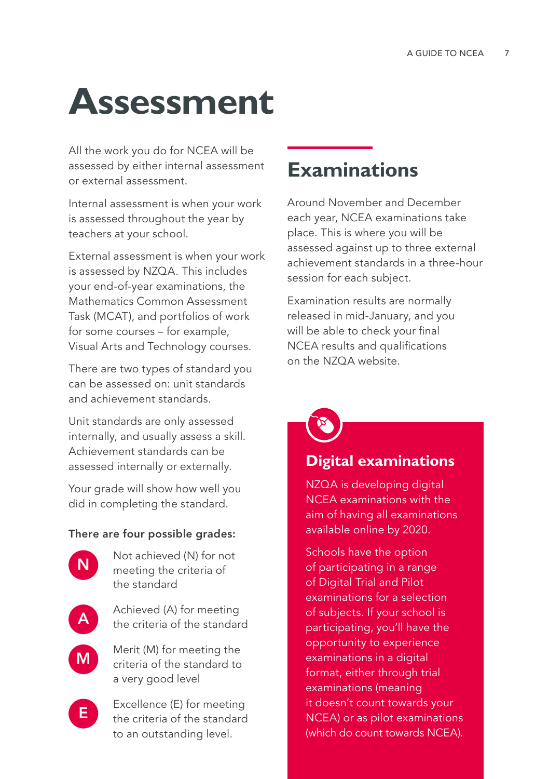# **Assessment**

All the work you do for NCEA will be assessed by either internal assessment or external assessment.

Internal assessment is when your work is assessed throughout the year by teachers at your school.

External assessment is when your work is assessed by NZQA. This includes your end-of-year examinations, the Mathematics Common Assessment Task (MCAT), and portfolios of work for some courses – for example, Visual Arts and Technology courses.

There are two types of standard you can be assessed on: unit standards and achievement standards.

Unit standards are only assessed internally, and usually assess a skill. Achievement standards can be assessed internally or externally.

Your grade will show how well you did in completing the standard.

#### There are four possible grades:



Not achieved (N) for not meeting the criteria of the standard



M

Achieved (A) for meeting the criteria of the standard

Merit (M) for meeting the criteria of the standard to a very good level



Excellence (E) for meeting the criteria of the standard to an outstanding level.

### **Examinations**

Around November and December each year, NCEA examinations take place. This is where you will be assessed against up to three external achievement standards in a three-hour session for each subject.

Examination results are normally released in mid-January, and you will be able to check your final NCEA results and qualifications on the NZQA website.

#### **Digital examinations**

NZQA is developing digital NCEA examinations with the aim of having all examinations available online by 2020.

Schools have the option of participating in a range of Digital Trial and Pilot examinations for a selection of subjects. If your school is participating, you'll have the opportunity to experience examinations in a digital format, either through trial examinations (meaning it doesn't count towards your NCEA) or as pilot examinations (which do count towards NCEA).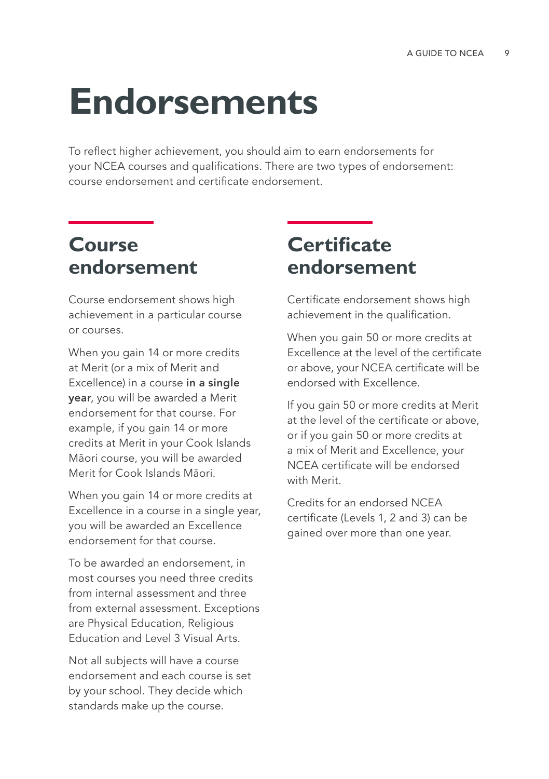# **Endorsements**

To reflect higher achievement, you should aim to earn endorsements for your NCEA courses and qualifications. There are two types of endorsement: course endorsement and certificate endorsement.

### **Course endorsement**

Course endorsement shows high achievement in a particular course or courses.

When you gain 14 or more credits at Merit (or a mix of Merit and Excellence) in a course in a single year, you will be awarded a Merit endorsement for that course. For example, if you gain 14 or more credits at Merit in your Cook Islands Māori course, you will be awarded Merit for Cook Islands Māori.

When you gain 14 or more credits at Excellence in a course in a single year, you will be awarded an Excellence endorsement for that course.

To be awarded an endorsement, in most courses you need three credits from internal assessment and three from external assessment. Exceptions are Physical Education, Religious Education and Level 3 Visual Arts.

Not all subjects will have a course endorsement and each course is set by your school. They decide which standards make up the course.

### **Certificate endorsement**

Certificate endorsement shows high achievement in the qualification.

When you gain 50 or more credits at Excellence at the level of the certificate or above, your NCEA certificate will be endorsed with Excellence.

If you gain 50 or more credits at Merit at the level of the certificate or above, or if you gain 50 or more credits at a mix of Merit and Excellence, your NCEA certificate will be endorsed with Merit.

Credits for an endorsed NCEA certificate (Levels 1, 2 and 3) can be gained over more than one year.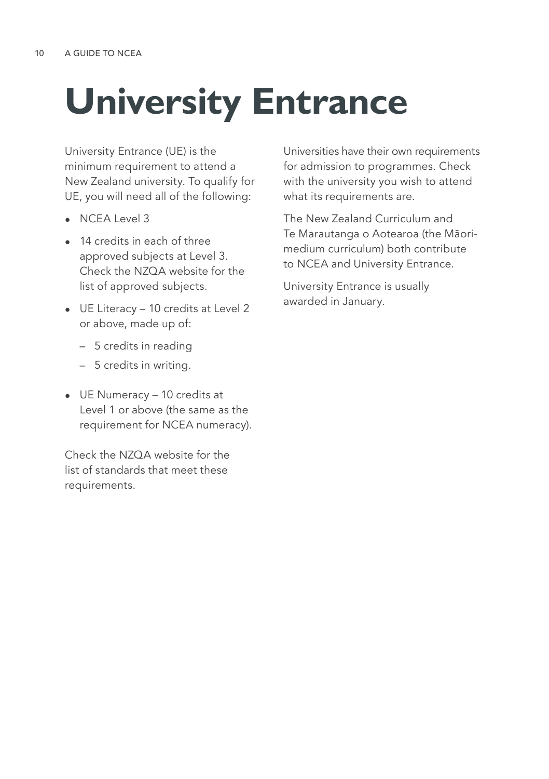# **University Entrance**

University Entrance (UE) is the minimum requirement to attend a New Zealand university. To qualify for UE, you will need all of the following:

- NCEA Level 3
- 14 credits in each of three approved subjects at Level 3. Check the N70A website for the list of approved subjects.
- UE Literacy 10 credits at Level 2 or above, made up of:
	- 5 credits in reading
	- 5 credits in writing.
- UE Numeracy 10 credits at Level 1 or above (the same as the requirement for NCEA numeracy).

Check the NZQA website for the list of standards that meet these requirements.

Universities have their own requirements for admission to programmes. Check with the university you wish to attend what its requirements are.

The New Zealand Curriculum and Te Marautanga o Aotearoa (the Māorimedium curriculum) both contribute to NCEA and University Entrance.

University Entrance is usually awarded in January.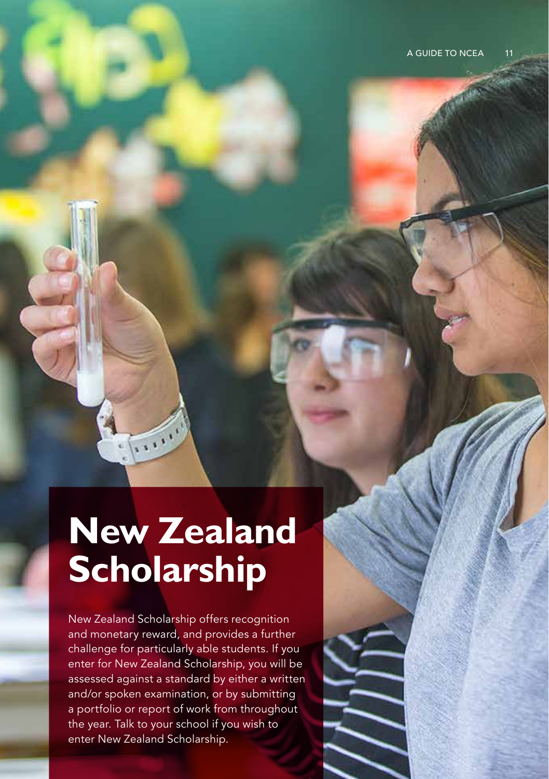# **New Zealand Scholarship**

 $\frac{1}{2}$ 

New Zealand Scholarship offers recognition and monetary reward, and provides a further challenge for particularly able students. If you enter for New Zealand Scholarship, you will be assessed against a standard by either a written and/or spoken examination, or by submitting a portfolio or report of work from throughout the year. Talk to your school if you wish to enter New Zealand Scholarship.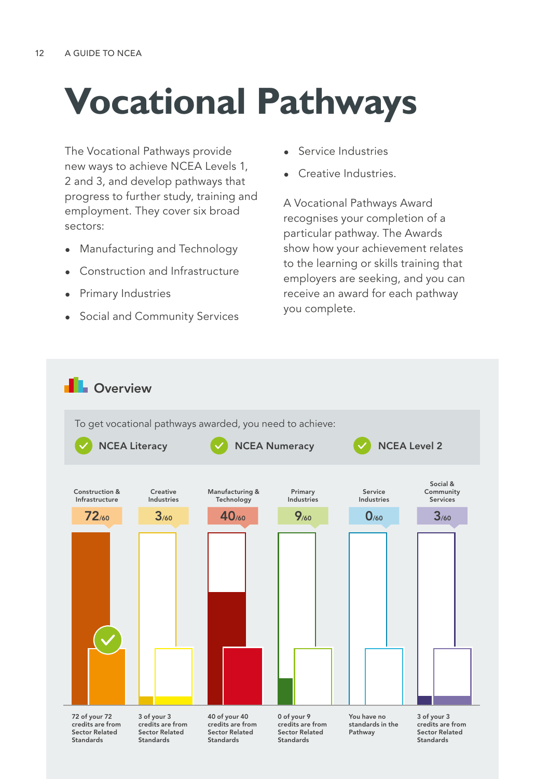# **Vocational Pathways**

The Vocational Pathways provide new ways to achieve NCEA Levels 1, 2 and 3, and develop pathways that progress to further study, training and employment. They cover six broad sectors:

- Manufacturing and Technology
- Construction and Infrastructure
- Primary Industries
- Social and Community Services
- Service Industries
- Creative Industries.

A Vocational Pathways Award recognises your completion of a particular pathway. The Awards show how your achievement relates to the learning or skills training that employers are seeking, and you can receive an award for each pathway you complete.

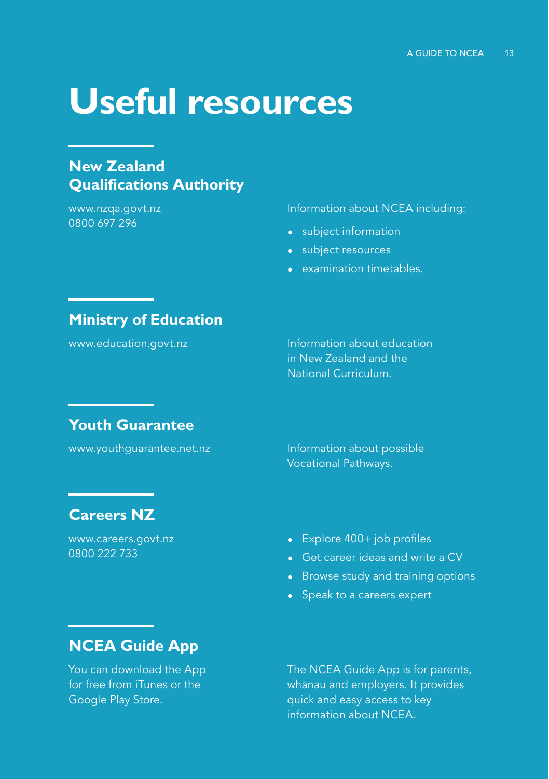# **Useful resources**

#### **New Zealand Qualifications Authority**

www.nzqa.govt.nz 0800 697 296

Information about NCEA including:

- subject information
- subject resources
- examination timetables.

#### **Ministry of Education**

www.education.govt.nz **Information about education** in New Zealand and the National Curriculum.

#### **Youth Guarantee**

www.youthguarantee.net.nz Information about possible Vocational Pathways.

#### **Careers NZ**

www.careers.govt.nz 0800 222 733

#### • Explore 400+ job profiles

- Get career ideas and write a CV
- Browse study and training options
- Speak to a careers expert

### **NCEA Guide App**

You can download the App for free from iTunes or the Google Play Store.

The NCEA Guide App is for parents, whānau and employers. It provides quick and easy access to key information about NCEA.